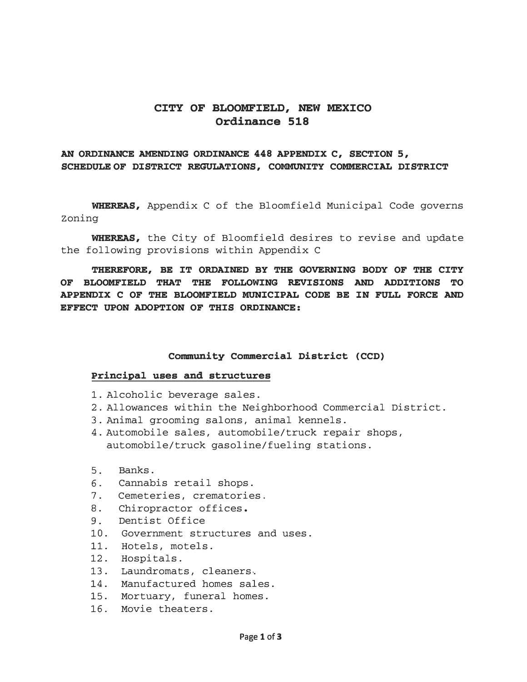# **CITY OF BLOOMFIELD, NEW MEXICO Ordinance 518**

# **AN ORDINANCE AMENDING ORDINANCE 448 APPENDIX C, SECTION 5, SCHEDULE OF DISTRICT REGULATIONS, COMMUNITY COMMERCIAL DISTRICT**

**WHEREAS,** Appendix C of the Bloomfield Municipal Code governs Zoning

**WHEREAS,** the City of Bloomfield desires to revise and update the following provisions within Appendix C

**THEREFORE, BE IT ORDAINED BY THE GOVERNING BODY OF THE CITY OF BLOOMFIELD THAT THE FOLLOWING REVISIONS AND ADDITIONS TO APPENDIX C OF THE BLOOMFIELD MUNICIPAL CODE BE IN FULL FORCE AND EFFECT UPON ADOPTION OF THIS ORDINANCE:** 

#### Community Commercial District (CCD)

### **Principal uses and structures**

- 1. Alcoholic beverage sales.
- 2. Allowances within the Neighborhood Commercial District.
- 3. Animal grooming salons, animal kennels.
- 4. Automobile sales, automobile/truck repair shops, automobile/truck gasoline/fueling stations.
- 5. Banks.
- 6. Cannabis retail shops.
- 7. Cemeteries, crematories.<br>8. Chiropractor offices.
- Chiropractor offices.
- 9. Dentist Office
- 10. Government structures and uses.
- 11. Hotels, motels.
- 12. Hospitals.
- 13. Laundromats, cleaners.
- 14. Manufactured homes sales.
- 15. Mortuary, funeral homes.
- 16. Movie theaters.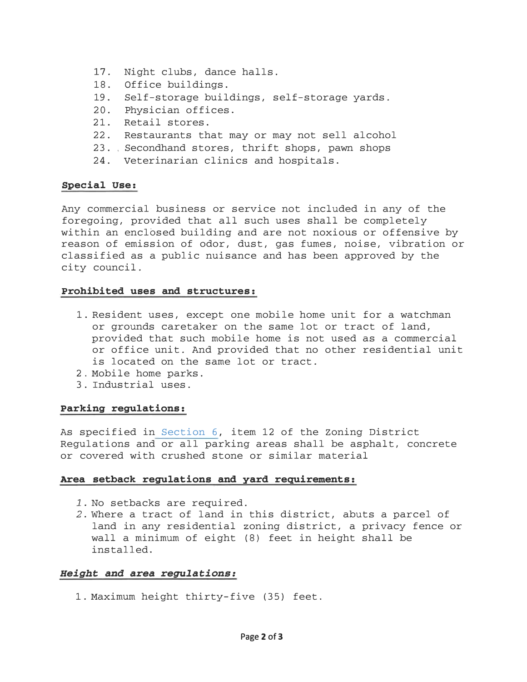- 17. Night clubs, dance halls.
- 18. Office buildings.
- 19. Self-storage buildings, self-storage yards.
- 20. Physician offices.
- 21. Retail stores.
- 22. Restaurants that may or may not sell alcohol
- 23. Secondhand stores, thrift shops, pawn shops
- 24. Veterinarian clinics and hospitals.

# Special use:

Any commercial business or service not included in any of the foregoing, provided that all such uses shall be completely within an enclosed building and are not noxious or offensive by reason of emission of odor, dust, gas fumes, noise, vibration or classified as a public nuisance and has been approved by the city council.

# Prohibited uses and structures:

- 1. Resident uses, except one mobile home unit for a watchman or grounds caretaker on the same lot or tract of land, provided that such mobile home is not used as a commercial or office unit. And provided that no other residential unit is located on the same lot or tract.
- 2. Mobile home parks.
- 3. Industrial uses.

# Parking regulations:

As specified in Section 6, item 12 of the Zoning District Regulations and or all parking areas shall be asphalt, concrete or covered with crushed stone or similar material

# Area setback regulations and yard requirements:

- 1. No setbacks are required.
- 2. Where a tract of land in this district, abuts a parcel of land in any residential zoning district, a privacy fence or wall a minimum of eight (8) feet in height shall be installed.

# Height and area regulations:

1. Maximum height thirty-five (35) feet.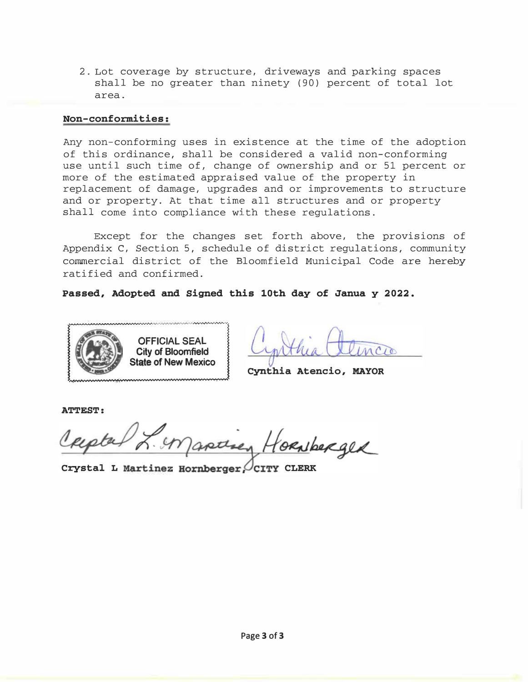2. Lot coverage by structure, driveways and parking spaces shall be no greater than ninety (90) percent of total lot area.

### Non-conformities:

Any non-conforming uses in existence at the time of the adoption of this ordinance, shall be considered a valid non-conforming use until such time of, change of ownership and or 51 percent or more of the estimated appraised value of the property in replacement of damage, upgrades and or improvements to structure and or property. At that time all structures and or property shall come into compliance with these regulations.

Except for the changes set forth above, the provisions of Appendix C, Section 5, schedule of district regulations, community commercial district of the Bloomfield Municipal Code are hereby ratified and confirmed.

Passed, Adopted and Signed this 10th day of Janua y 2022.



Cynthia Atencio, MAYOR

ATTEST:

orNberger

Crystal L Martinez Hornberger. CITY CLERK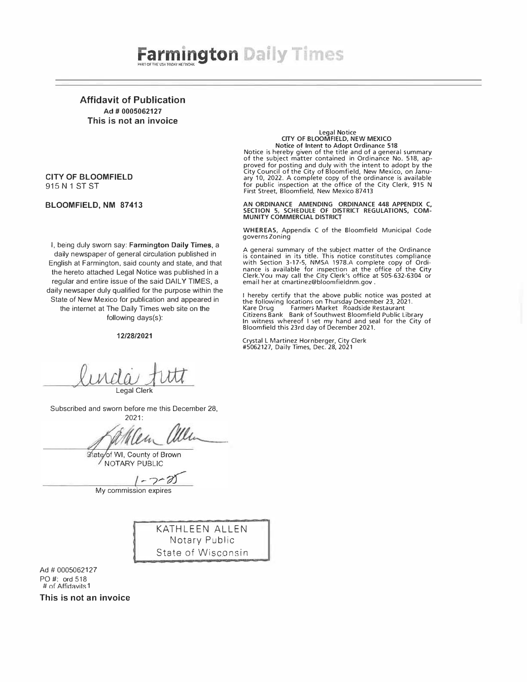# **Farmington Daily Times**

Affidavit of Publication Ad # 0005062127 This is not an invoice

#### CITY OF BLOOMFIELD 915 N 1 ST ST

BLOOMFIELD, NM 87413

I, being duly sworn say: Farmington Daily Times, a daily newspaper of general circulation published in English at Farmington, said county and state, and that the hereto attached Legal Notice was published in a regular and entire issue of the said DAILY TIMES, a daily newsaper duly qualified for the purpose within the State of New Mexico for publication and appeared in the internet at The Daily Times web site on the following days(s):

#### 12/28/2021

#### Legal Notice CITY OF BLOOMFIELD, NEW MEXICO Notice of Intent to Adopt Ordinance 518

Notice is hereby given of the title and of a general summary of the subject matter contained in Ordinance No. 518, approved for posting and duly with the intent to adopt by the<br>City Council of the City of Bloomfield, New Mexico, on Janu-<br>ary 10, 2022. A complete copy of the ordinance is available<br>for public inspection at the office of th First Street, Bloomfield, New Mexico 87413

AN ORDINANCE AMENDING ORDINANCE 448 APPENDIX C,<br>SECTION 5, SCHEDULE OF DISTRICT REGULATIONS, COM-MUNITY COMMERCIAL DISTRICT

WHEREAS, Appendix C of the Bloomfield Municipal Code governs Zoning

A general summary of the subject matter of the Ordinance is contained in its title. This notice constitutes compliance<br>with Section 3-17-5, NMSA 1978.A complete copy of Ordi-<br>nance is available for inspection at the office of the City<br>Clerk.You may call the City Clerk's office a email her at cmartinez@bloomfieldnm.gov .

I hereby certify that the above public notice was posted at the following locations on Thursday December 23, 2021.<br>Kare Drug Farmers Market Roadside Restaurant Farmers Market Roadside Restaurant Citizens Bank Bank of Southwest Bloomfield Public Library In witness whereof I set my hand and seal for the City of Bloomfield this 23rd day of December 2021.

Crystal L Martinez Hornberger, City Clerk #5062127, Daily Times, Dec. 28, 2021

Legal Clerk

Subscribed and sworn before me this December 28,

2021: Wen allen

State/of WI, County of Brown NOTARY PUBLIC

 $7 - 0$ 

My commission expires

KATHLEEN ALLEN Notary Public State of Wisconsin

Ad # 0005062127 PO#: ord 518  $#$  of Affidavits 1

This is not an invoice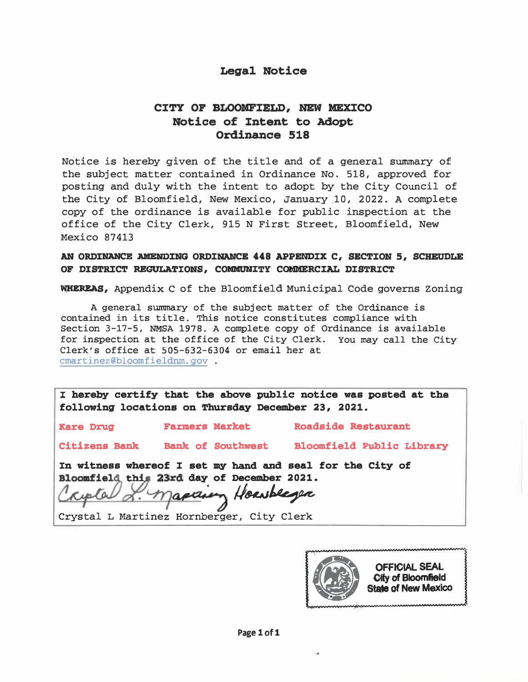# Legal Notice

# CITY OF BLOOMFIELD, NEW MEXICO Notice of Intent to Adopt Ordinance 518

Notice is hereby given of the title and of a general summary of the subject matter contained in Ordinance No. 518, approved for posting and duly with the intent to adopt by the City Council of the City of Bloomfield, New Mexico, January.10, 2022. A complete copy of the ordinance is available for public inspection at the office of the City Clerk, 915 N First Street, Bloomfield, New Mexico 87413

# AN ORDINANCE AMENDING ORDINANCE 448 APPENDIX C, SECTION 5, SCHEUDLE OF DISTRICT REGULATIONS, COMMUNITY COMMERCIAL DISTRICT

WHEREAS, Appendix C of the Bloomfield Municipal Code governs Zoning

A general summary of the subject matter of the Ordinance is contained in its title. This notice constitutes compliance with Section 3-17-5, NMSA 1978. A complete copy of Ordinance is available for inspection at the office of the City Clerk. You may call the City Clerk's office at 505-632-6304 or email her at cmartinez@bloomfieldnm.gov .

I hereby certify that the above public notice was posted at the following locations on Thursday December 23, 2021.

Kare Drug

Farmers Market

Roadside Restaurant

Citizens Bank Bank of Southwest Bloomfield Public Library

In witness whereof I set my hand and seal for the City of

Bloomfield this 23rd day of December 2021.<br>Cryptal & Maplinery Housbleger . Hourbeger

Crystal L Martinez Hornberger, City Clerk

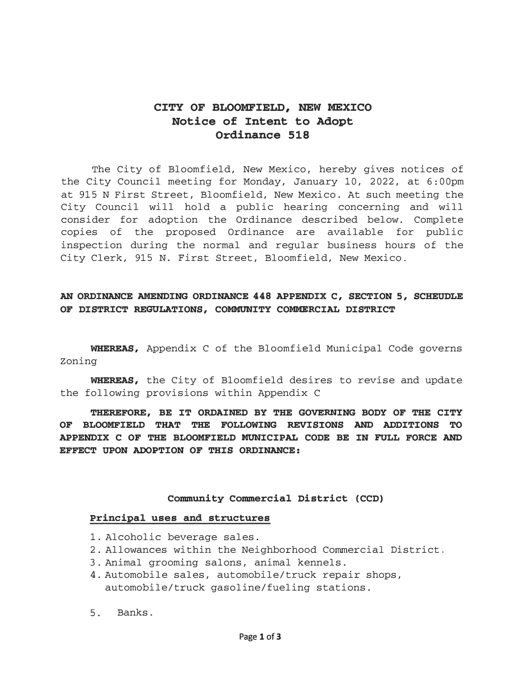# CITY OF BLOOMFIELD, NEW MEXICO Notice of Intent to Adopt Ordinance 518

The City of Bloomfield, New Mexico, hereby gives notices of the City Council meeting for Monday, January 10, 2022, at 6:00pm at 915 N First Street, Bloomfield, New Mexico. At such meeting the City Council will hold a public hearing concerning and will consider for adoption the Ordinance described below. Complete copies of the proposed Ordinance are available for public inspection during the normal and regular business hours of the City Clerk, 915 N. First Street, Bloomfield, New Mexico.

# AN ORDINANCE AMENDING ORDINANCE 448 APPENDIX C, SECTION 5, SCHEUDLE OF DISTRICT REGULATIONS, COMMUNITY COMMERCIAL DISTRICT

WHEREAS, Appendix C of the Bloomfield Municipal Code governs Zoning

WHEREAS, the City of Bloomfield desires to revise and update the following provisions within Appendix C

THEREFORE, BE IT ORDAINED BY THE GOVERNING BODY OF THE CITY OF BLOOMFIELD THAT THE FOLLOWING REVISIONS AND ADDITIONS TO APPENDIX C OF THE BLOOMFIELD MUNICIPAL CODE BE IN FULL FORCE AND EFFECT UPON ADOPTION OF THIS ORDINANCE:

### Community Commercial District {CCD)

#### Principal uses and structures

- 1. Alcoholic beverage sales.
- 2. Allowances within the Neighborhood Commercial District.
- 3. Animal grooming salons, animal kennels.
- 4. Automobile sales, automobile/truck repair shops, automobile/truck gasoline/fueling stations.
- 5. Banks.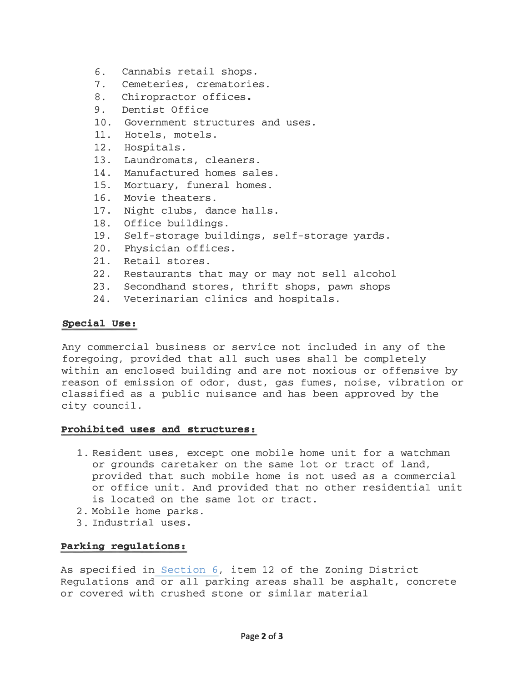- 6. Cannabis retail shops.
- 7. Cemeteries, crematories.
- 8. Chiropractor offices.
- 9. Dentist Office
- 10. Government structures and uses.
- 11. Hotels, motels.
- 12. Hospitals.
- 13. Laundromats, cleaners.
- 14. Manufactured homes sales.
- 15. Mortuary, funeral homes.
- 16. Movie theaters.
- 17. Night clubs, dance halls.
- 18. Office buildings.
- 19. Self-storage buildings, self-storage yards.
- 20. Physician offices.
- 21. Retail stores.
- 22. Restaurants that may or may not sell alcohol
- 23. Secondhand stores, thrift shops, pawn shops
- 24. Veterinarian clinics and hospitals.

# Special use:

Any commercial business or service not included in any of the foregoing, provided that all such uses shall be completely within an enclosed building and are not noxious or offensive by reason of emission of odor, dust, gas fumes, noise, vibration or classified as a public nuisance and has been approved by the city council.

# Prohibited uses and structures:

- 1. Resident uses, except one mobile home unit for a watchman or grounds caretaker on the same lot or tract of land, provided that such mobile home is not used as a commercial or office unit. And provided that no other residential unit is located on the same lot or tract.
- 2. Mobile home parks.
- 3. Industrial uses.

# Parking regulations:

As specified in Section 6, item 12 of the Zoning District Regulations and or all parking areas shall be asphalt, concrete or covered with crushed stone or similar material